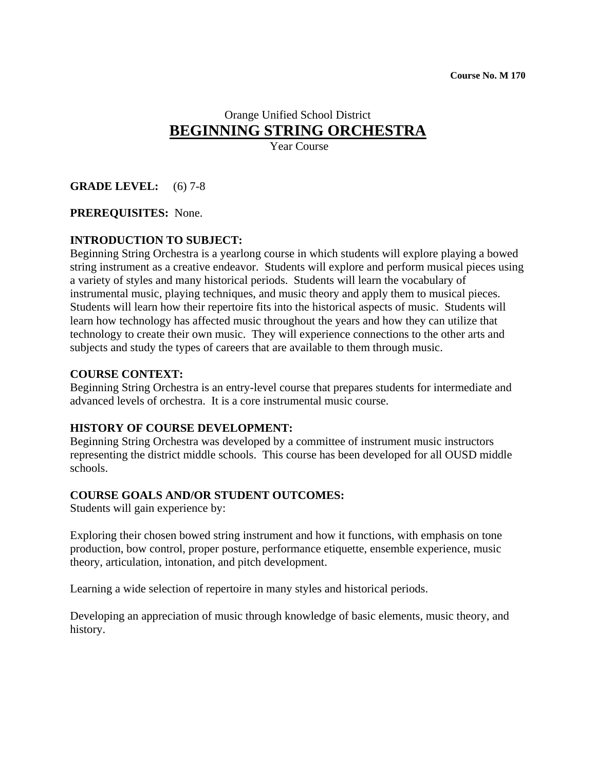# Orange Unified School District **BEGINNING STRING ORCHESTRA**

Year Course

# **GRADE LEVEL:** (6) 7-8

#### **PREREQUISITES:** None.

#### **INTRODUCTION TO SUBJECT:**

Beginning String Orchestra is a yearlong course in which students will explore playing a bowed string instrument as a creative endeavor. Students will explore and perform musical pieces using a variety of styles and many historical periods. Students will learn the vocabulary of instrumental music, playing techniques, and music theory and apply them to musical pieces. Students will learn how their repertoire fits into the historical aspects of music. Students will learn how technology has affected music throughout the years and how they can utilize that technology to create their own music. They will experience connections to the other arts and subjects and study the types of careers that are available to them through music.

#### **COURSE CONTEXT:**

Beginning String Orchestra is an entry-level course that prepares students for intermediate and advanced levels of orchestra. It is a core instrumental music course.

#### **HISTORY OF COURSE DEVELOPMENT:**

Beginning String Orchestra was developed by a committee of instrument music instructors representing the district middle schools. This course has been developed for all OUSD middle schools.

#### **COURSE GOALS AND/OR STUDENT OUTCOMES:**

Students will gain experience by:

Exploring their chosen bowed string instrument and how it functions, with emphasis on tone production, bow control, proper posture, performance etiquette, ensemble experience, music theory, articulation, intonation, and pitch development.

Learning a wide selection of repertoire in many styles and historical periods.

Developing an appreciation of music through knowledge of basic elements, music theory, and history.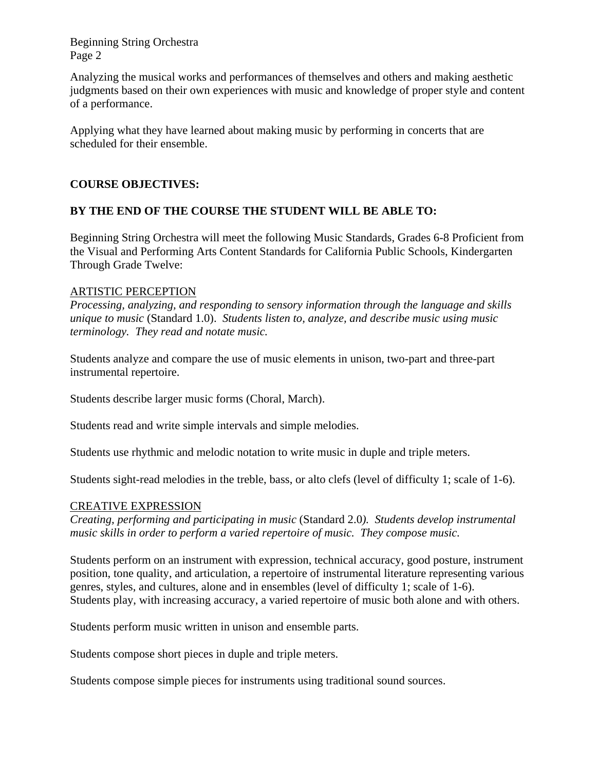Beginning String Orchestra Page 2

Analyzing the musical works and performances of themselves and others and making aesthetic judgments based on their own experiences with music and knowledge of proper style and content of a performance.

Applying what they have learned about making music by performing in concerts that are scheduled for their ensemble.

# **COURSE OBJECTIVES:**

# **BY THE END OF THE COURSE THE STUDENT WILL BE ABLE TO:**

Beginning String Orchestra will meet the following Music Standards, Grades 6-8 Proficient from the Visual and Performing Arts Content Standards for California Public Schools, Kindergarten Through Grade Twelve:

#### ARTISTIC PERCEPTION

*Processing, analyzing, and responding to sensory information through the language and skills unique to music* (Standard 1.0). *Students listen to, analyze, and describe music using music terminology. They read and notate music.* 

Students analyze and compare the use of music elements in unison, two-part and three-part instrumental repertoire.

Students describe larger music forms (Choral, March).

Students read and write simple intervals and simple melodies.

Students use rhythmic and melodic notation to write music in duple and triple meters.

Students sight-read melodies in the treble, bass, or alto clefs (level of difficulty 1; scale of 1-6).

#### CREATIVE EXPRESSION

*Creating, performing and participating in music* (Standard 2.0*). Students develop instrumental music skills in order to perform a varied repertoire of music. They compose music.*

Students perform on an instrument with expression, technical accuracy, good posture, instrument position, tone quality, and articulation, a repertoire of instrumental literature representing various genres, styles, and cultures, alone and in ensembles (level of difficulty 1; scale of 1-6). Students play, with increasing accuracy, a varied repertoire of music both alone and with others.

Students perform music written in unison and ensemble parts.

Students compose short pieces in duple and triple meters.

Students compose simple pieces for instruments using traditional sound sources.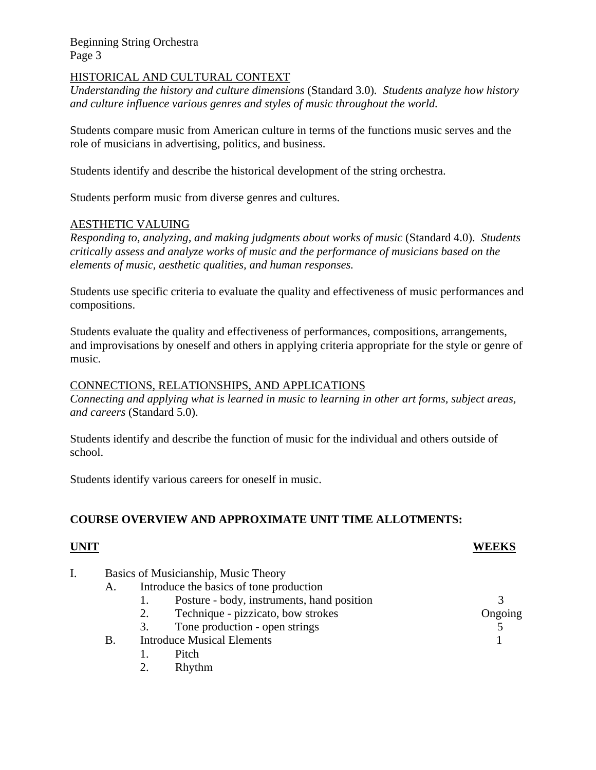Beginning String Orchestra Page 3

### HISTORICAL AND CULTURAL CONTEXT

*Understanding the history and culture dimensions* (Standard 3.0)*. Students analyze how history and culture influence various genres and styles of music throughout the world.* 

Students compare music from American culture in terms of the functions music serves and the role of musicians in advertising, politics, and business.

Students identify and describe the historical development of the string orchestra.

Students perform music from diverse genres and cultures.

# AESTHETIC VALUING

*Responding to, analyzing, and making judgments about works of music* (Standard 4.0). *Students critically assess and analyze works of music and the performance of musicians based on the elements of music, aesthetic qualities, and human responses.*

Students use specific criteria to evaluate the quality and effectiveness of music performances and compositions.

Students evaluate the quality and effectiveness of performances, compositions, arrangements, and improvisations by oneself and others in applying criteria appropriate for the style or genre of music.

#### CONNECTIONS, RELATIONSHIPS, AND APPLICATIONS

*Connecting and applying what is learned in music to learning in other art forms, subject areas, and careers* (Standard 5.0).

Students identify and describe the function of music for the individual and others outside of school.

Students identify various careers for oneself in music.

#### **COURSE OVERVIEW AND APPROXIMATE UNIT TIME ALLOTMENTS:**

#### **UNIT WEEKS**

I. Basics of Musicianship, Music Theory A. Introduce the basics of tone production 1. Posture - body, instruments, hand position 3 2. Technique - pizzicato, bow strokes Ongoing 3. Tone production - open strings 5 B. Introduce Musical Elements 1 1. Pitch 2. Rhythm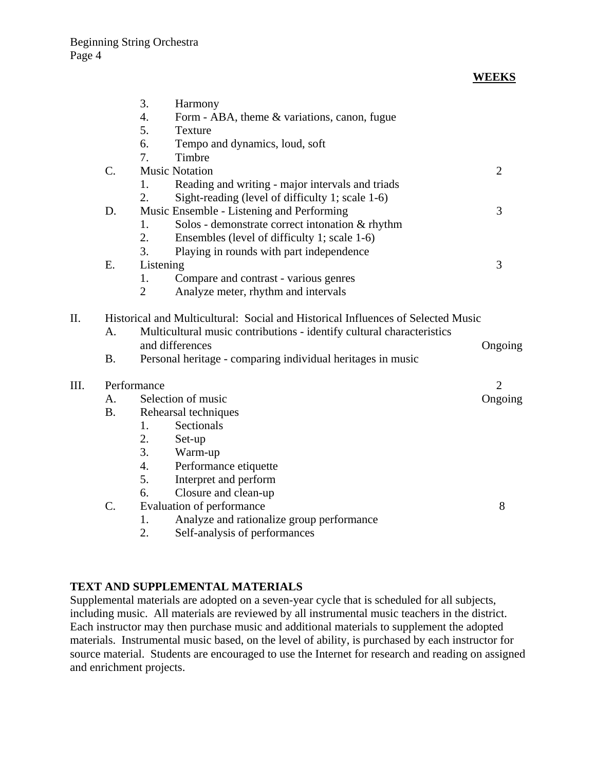|      |                                                                                  | 3.<br>Harmony<br>4.<br>5.<br><b>Texture</b>                 | Form - ABA, theme & variations, canon, fugue                          |                |
|------|----------------------------------------------------------------------------------|-------------------------------------------------------------|-----------------------------------------------------------------------|----------------|
|      |                                                                                  | 6.                                                          | Tempo and dynamics, loud, soft                                        |                |
|      |                                                                                  | Timbre<br>7.                                                |                                                                       |                |
|      | $C$ .                                                                            | <b>Music Notation</b>                                       |                                                                       | $\overline{2}$ |
|      |                                                                                  | 1.                                                          | Reading and writing - major intervals and triads                      |                |
|      |                                                                                  | 2.                                                          | Sight-reading (level of difficulty 1; scale 1-6)                      |                |
|      | D.                                                                               |                                                             | Music Ensemble - Listening and Performing                             | 3              |
|      |                                                                                  | 1.                                                          | Solos - demonstrate correct intonation & rhythm                       |                |
|      |                                                                                  | 2.                                                          | Ensembles (level of difficulty 1; scale 1-6)                          |                |
|      |                                                                                  | 3.                                                          | Playing in rounds with part independence                              |                |
|      | Ε.                                                                               | Listening                                                   |                                                                       | 3              |
|      |                                                                                  | 1.                                                          | Compare and contrast - various genres                                 |                |
|      |                                                                                  | $\overline{2}$                                              | Analyze meter, rhythm and intervals                                   |                |
| Π.   | Historical and Multicultural: Social and Historical Influences of Selected Music |                                                             |                                                                       |                |
|      | A.                                                                               |                                                             | Multicultural music contributions - identify cultural characteristics |                |
|      |                                                                                  | and differences                                             | Ongoing                                                               |                |
|      | <b>B.</b>                                                                        | Personal heritage - comparing individual heritages in music |                                                                       |                |
| III. | Performance                                                                      |                                                             |                                                                       | $\overline{2}$ |
|      | A.                                                                               | Selection of music                                          |                                                                       | Ongoing        |
|      | <b>B.</b>                                                                        | Rehearsal techniques                                        |                                                                       |                |
|      |                                                                                  | Sectionals<br>1.                                            |                                                                       |                |
|      |                                                                                  | 2.<br>Set-up                                                |                                                                       |                |
|      |                                                                                  | 3.<br>Warm-up                                               |                                                                       |                |
|      |                                                                                  | 4.                                                          | Performance etiquette                                                 |                |
|      |                                                                                  | 5.                                                          | Interpret and perform                                                 |                |
|      |                                                                                  | 6.                                                          | Closure and clean-up                                                  |                |
|      | $\mathcal{C}$ .                                                                  | Evaluation of performance                                   |                                                                       | 8              |
|      |                                                                                  | 1.                                                          | Analyze and rationalize group performance                             |                |
|      |                                                                                  |                                                             |                                                                       |                |

2. Self-analysis of performances

#### **TEXT AND SUPPLEMENTAL MATERIALS**

Supplemental materials are adopted on a seven-year cycle that is scheduled for all subjects, including music. All materials are reviewed by all instrumental music teachers in the district. Each instructor may then purchase music and additional materials to supplement the adopted materials. Instrumental music based, on the level of ability, is purchased by each instructor for source material. Students are encouraged to use the Internet for research and reading on assigned and enrichment projects.